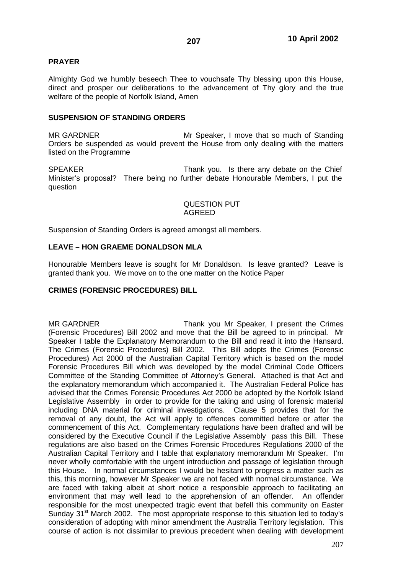# **PRAYER**

Almighty God we humbly beseech Thee to vouchsafe Thy blessing upon this House, direct and prosper our deliberations to the advancement of Thy glory and the true welfare of the people of Norfolk Island, Amen

## **SUSPENSION OF STANDING ORDERS**

MR GARDNER Mr Speaker, I move that so much of Standing Orders be suspended as would prevent the House from only dealing with the matters listed on the Programme

SPEAKER Thank you. Is there any debate on the Chief Minister's proposal? There being no further debate Honourable Members, I put the question

#### QUESTION PUT AGREED

Suspension of Standing Orders is agreed amongst all members.

## **LEAVE – HON GRAEME DONALDSON MLA**

Honourable Members leave is sought for Mr Donaldson. Is leave granted? Leave is granted thank you. We move on to the one matter on the Notice Paper

# **CRIMES (FORENSIC PROCEDURES) BILL**

MR GARDNER Thank you Mr Speaker, I present the Crimes (Forensic Procedures) Bill 2002 and move that the Bill be agreed to in principal. Mr Speaker I table the Explanatory Memorandum to the Bill and read it into the Hansard. The Crimes (Forensic Procedures) Bill 2002. This Bill adopts the Crimes (Forensic Procedures) Act 2000 of the Australian Capital Territory which is based on the model Forensic Procedures Bill which was developed by the model Criminal Code Officers Committee of the Standing Committee of Attorney's General. Attached is that Act and the explanatory memorandum which accompanied it. The Australian Federal Police has advised that the Crimes Forensic Procedures Act 2000 be adopted by the Norfolk Island Legislative Assembly in order to provide for the taking and using of forensic material including DNA material for criminal investigations. Clause 5 provides that for the removal of any doubt, the Act will apply to offences committed before or after the commencement of this Act. Complementary regulations have been drafted and will be considered by the Executive Council if the Legislative Assembly pass this Bill. These regulations are also based on the Crimes Forensic Procedures Regulations 2000 of the Australian Capital Territory and I table that explanatory memorandum Mr Speaker. I'm never wholly comfortable with the urgent introduction and passage of legislation through this House. In normal circumstances I would be hesitant to progress a matter such as this, this morning, however Mr Speaker we are not faced with normal circumstance. We are faced with taking albeit at short notice a responsible approach to facilitating an environment that may well lead to the apprehension of an offender. An offender responsible for the most unexpected tragic event that befell this community on Easter Sunday 31<sup>st</sup> March 2002. The most appropriate response to this situation led to today's consideration of adopting with minor amendment the Australia Territory legislation. This course of action is not dissimilar to previous precedent when dealing with development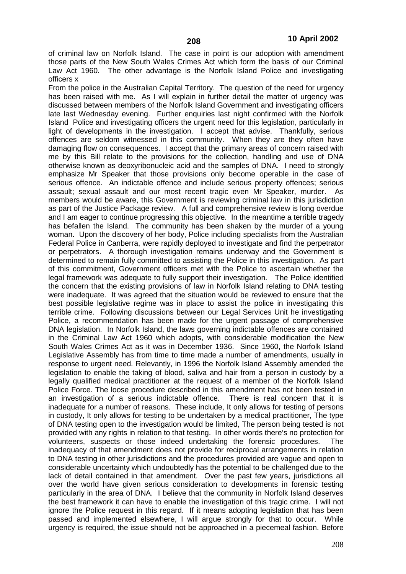of criminal law on Norfolk Island. The case in point is our adoption with amendment those parts of the New South Wales Crimes Act which form the basis of our Criminal Law Act 1960. The other advantage is the Norfolk Island Police and investigating officers x

From the police in the Australian Capital Territory. The question of the need for urgency has been raised with me. As I will explain in further detail the matter of urgency was discussed between members of the Norfolk Island Government and investigating officers late last Wednesday evening. Further enquiries last night confirmed with the Norfolk Island Police and investigating officers the urgent need for this legislation, particularly in light of developments in the investigation. I accept that advise. Thankfully, serious offences are seldom witnessed in this community. When they are they often have damaging flow on consequences. I accept that the primary areas of concern raised with me by this Bill relate to the provisions for the collection, handling and use of DNA otherwise known as deoxyribonucleic acid and the samples of DNA. I need to strongly emphasize Mr Speaker that those provisions only become operable in the case of serious offence. An indictable offence and include serious property offences; serious assault; sexual assault and our most recent tragic even Mr Speaker, murder. As members would be aware, this Government is reviewing criminal law in this jurisdiction as part of the Justice Package review. A full and comprehensive review is long overdue and I am eager to continue progressing this objective. In the meantime a terrible tragedy has befallen the Island. The community has been shaken by the murder of a young woman. Upon the discovery of her body, Police including specialists from the Australian Federal Police in Canberra, were rapidly deployed to investigate and find the perpetrator or perpetrators. A thorough investigation remains underway and the Government is determined to remain fully committed to assisting the Police in this investigation. As part of this commitment, Government officers met with the Police to ascertain whether the legal framework was adequate to fully support their investigation. The Police identified the concern that the existing provisions of law in Norfolk Island relating to DNA testing were inadequate. It was agreed that the situation would be reviewed to ensure that the best possible legislative regime was in place to assist the police in investigating this terrible crime. Following discussions between our Legal Services Unit he investigating Police, a recommendation has been made for the urgent passage of comprehensive DNA legislation. In Norfolk Island, the laws governing indictable offences are contained in the Criminal Law Act 1960 which adopts, with considerable modification the New South Wales Crimes Act as it was in December 1936. Since 1960, the Norfolk Island Legislative Assembly has from time to time made a number of amendments, usually in response to urgent need. Relevantly, in 1996 the Norfolk Island Assembly amended the legislation to enable the taking of blood, saliva and hair from a person in custody by a legally qualified medical practitioner at the request of a member of the Norfolk Island Police Force. The loose procedure described in this amendment has not been tested in an investigation of a serious indictable offence. There is real concern that it is an investigation of a serious indictable offence. inadequate for a number of reasons. These include, It only allows for testing of persons in custody, It only allows for testing to be undertaken by a medical practitioner, The type of DNA testing open to the investigation would be limited, The person being tested is not provided with any rights in relation to that testing. In other words there's no protection for volunteers, suspects or those indeed undertaking the forensic procedures. The inadequacy of that amendment does not provide for reciprocal arrangements in relation to DNA testing in other jurisdictions and the procedures provided are vague and open to considerable uncertainty which undoubtedly has the potential to be challenged due to the lack of detail contained in that amendment. Over the past few years, jurisdictions all over the world have given serious consideration to developments in forensic testing particularly in the area of DNA. I believe that the community in Norfolk Island deserves the best framework it can have to enable the investigation of this tragic crime. I will not ignore the Police request in this regard. If it means adopting legislation that has been passed and implemented elsewhere, I will argue strongly for that to occur. While urgency is required, the issue should not be approached in a piecemeal fashion. Before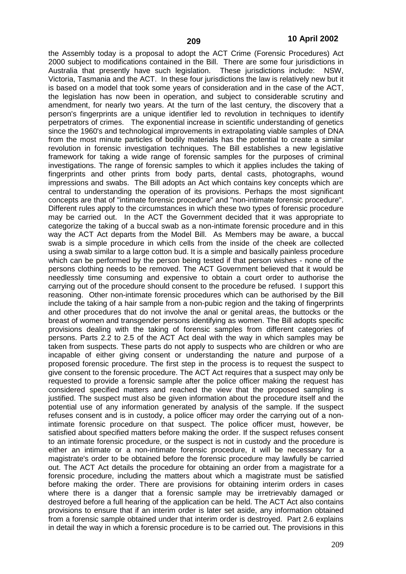the Assembly today is a proposal to adopt the ACT Crime (Forensic Procedures) Act 2000 subject to modifications contained in the Bill. There are some four jurisdictions in Australia that presently have such legislation. These jurisdictions include: NSW, Victoria, Tasmania and the ACT. In these four jurisdictions the law is relatively new but it is based on a model that took some years of consideration and in the case of the ACT, the legislation has now been in operation, and subject to considerable scrutiny and amendment, for nearly two years. At the turn of the last century, the discovery that a person's fingerprints are a unique identifier led to revolution in techniques to identify perpetrators of crimes. The exponential increase in scientific understanding of genetics since the 1960's and technological improvements in extrapolating viable samples of DNA from the most minute particles of bodily materials has the potential to create a similar revolution in forensic investigation techniques. The Bill establishes a new legislative framework for taking a wide range of forensic samples for the purposes of criminal investigations. The range of forensic samples to which it applies includes the taking of fingerprints and other prints from body parts, dental casts, photographs, wound impressions and swabs. The Bill adopts an Act which contains key concepts which are central to understanding the operation of its provisions. Perhaps the most significant concepts are that of "intimate forensic procedure" and "non-intimate forensic procedure". Different rules apply to the circumstances in which these two types of forensic procedure may be carried out. In the ACT the Government decided that it was appropriate to categorize the taking of a buccal swab as a non-intimate forensic procedure and in this way the ACT Act departs from the Model Bill. As Members may be aware, a buccal swab is a simple procedure in which cells from the inside of the cheek are collected using a swab similar to a large cotton bud. It is a simple and basically painless procedure which can be performed by the person being tested if that person wishes - none of the persons clothing needs to be removed. The ACT Government believed that it would be needlessly time consuming and expensive to obtain a court order to authorise the carrying out of the procedure should consent to the procedure be refused. I support this reasoning. Other non-intimate forensic procedures which can be authorised by the Bill include the taking of a hair sample from a non-pubic region and the taking of fingerprints and other procedures that do not involve the anal or genital areas, the buttocks or the breast of women and transgender persons identifying as women. The Bill adopts specific provisions dealing with the taking of forensic samples from different categories of persons. Parts 2.2 to 2.5 of the ACT Act deal with the way in which samples may be taken from suspects. These parts do not apply to suspects who are children or who are incapable of either giving consent or understanding the nature and purpose of a proposed forensic procedure. The first step in the process is to request the suspect to give consent to the forensic procedure. The ACT Act requires that a suspect may only be requested to provide a forensic sample after the police officer making the request has considered specified matters and reached the view that the proposed sampling is justified. The suspect must also be given information about the procedure itself and the potential use of any information generated by analysis of the sample. If the suspect refuses consent and is in custody, a police officer may order the carrying out of a nonintimate forensic procedure on that suspect. The police officer must, however, be satisfied about specified matters before making the order. If the suspect refuses consent to an intimate forensic procedure, or the suspect is not in custody and the procedure is either an intimate or a non-intimate forensic procedure, it will be necessary for a magistrate's order to be obtained before the forensic procedure may lawfully be carried out. The ACT Act details the procedure for obtaining an order from a magistrate for a forensic procedure, including the matters about which a magistrate must be satisfied before making the order. There are provisions for obtaining interim orders in cases where there is a danger that a forensic sample may be irretrievably damaged or destroyed before a full hearing of the application can be held. The ACT Act also contains provisions to ensure that if an interim order is later set aside, any information obtained from a forensic sample obtained under that interim order is destroyed. Part 2.6 explains in detail the way in which a forensic procedure is to be carried out. The provisions in this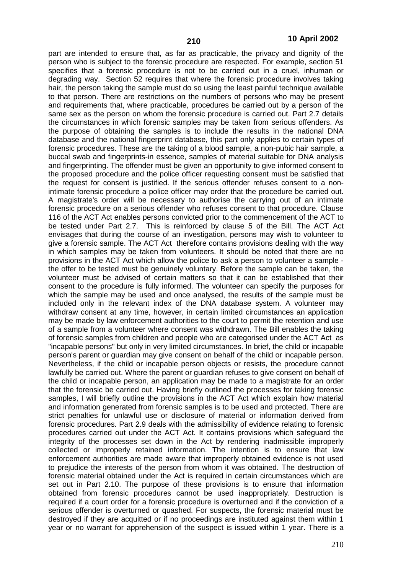part are intended to ensure that, as far as practicable, the privacy and dignity of the person who is subject to the forensic procedure are respected. For example, section 51 specifies that a forensic procedure is not to be carried out in a cruel, inhuman or degrading way. Section 52 requires that where the forensic procedure involves taking hair, the person taking the sample must do so using the least painful technique available to that person. There are restrictions on the numbers of persons who may be present and requirements that, where practicable, procedures be carried out by a person of the same sex as the person on whom the forensic procedure is carried out. Part 2.7 details the circumstances in which forensic samples may be taken from serious offenders. As the purpose of obtaining the samples is to include the results in the national DNA database and the national fingerprint database, this part only applies to certain types of forensic procedures. These are the taking of a blood sample, a non-pubic hair sample, a buccal swab and fingerprints-in essence, samples of material suitable for DNA analysis and fingerprinting. The offender must be given an opportunity to give informed consent to the proposed procedure and the police officer requesting consent must be satisfied that the request for consent is justified. If the serious offender refuses consent to a nonintimate forensic procedure a police officer may order that the procedure be carried out. A magistrate's order will be necessary to authorise the carrying out of an intimate forensic procedure on a serious offender who refuses consent to that procedure. Clause 116 of the ACT Act enables persons convicted prior to the commencement of the ACT to be tested under Part 2.7. This is reinforced by clause 5 of the Bill. The ACT Act envisages that during the course of an investigation, persons may wish to volunteer to give a forensic sample. The ACT Act therefore contains provisions dealing with the way in which samples may be taken from volunteers. It should be noted that there are no provisions in the ACT Act which allow the police to ask a person to volunteer a sample the offer to be tested must be genuinely voluntary. Before the sample can be taken, the volunteer must be advised of certain matters so that it can be established that their consent to the procedure is fully informed. The volunteer can specify the purposes for which the sample may be used and once analysed, the results of the sample must be included only in the relevant index of the DNA database system. A volunteer may withdraw consent at any time, however, in certain limited circumstances an application may be made by law enforcement authorities to the court to permit the retention and use of a sample from a volunteer where consent was withdrawn. The Bill enables the taking of forensic samples from children and people who are categorised under the ACT Act as "incapable persons" but only in very limited circumstances. In brief, the child or incapable person's parent or guardian may give consent on behalf of the child or incapable person. Nevertheless, if the child or incapable person objects or resists, the procedure cannot lawfully be carried out. Where the parent or guardian refuses to give consent on behalf of the child or incapable person, an application may be made to a magistrate for an order that the forensic be carried out. Having briefly outlined the processes for taking forensic samples, I will briefly outline the provisions in the ACT Act which explain how material and information generated from forensic samples is to be used and protected. There are strict penalties for unlawful use or disclosure of material or information derived from forensic procedures. Part 2.9 deals with the admissibility of evidence relating to forensic procedures carried out under the ACT Act. It contains provisions which safeguard the integrity of the processes set down in the Act by rendering inadmissible improperly collected or improperly retained information. The intention is to ensure that law enforcement authorities are made aware that improperly obtained evidence is not used to prejudice the interests of the person from whom it was obtained. The destruction of forensic material obtained under the Act is required in certain circumstances which are set out in Part 2.10. The purpose of these provisions is to ensure that information obtained from forensic procedures cannot be used inappropriately. Destruction is required if a court order for a forensic procedure is overturned and if the conviction of a serious offender is overturned or quashed. For suspects, the forensic material must be destroyed if they are acquitted or if no proceedings are instituted against them within 1 year or no warrant for apprehension of the suspect is issued within 1 year. There is a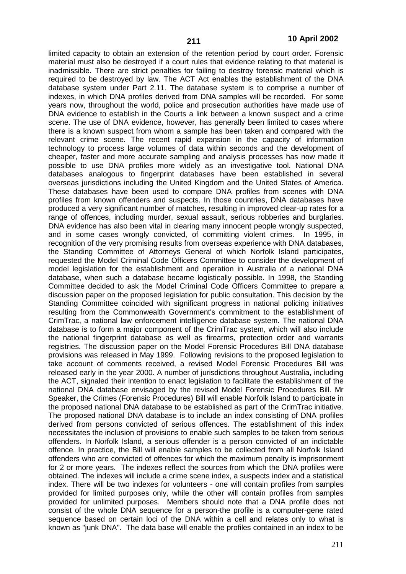limited capacity to obtain an extension of the retention period by court order. Forensic material must also be destroyed if a court rules that evidence relating to that material is inadmissible. There are strict penalties for failing to destroy forensic material which is required to be destroyed by law. The ACT Act enables the establishment of the DNA database system under Part 2.11. The database system is to comprise a number of indexes, in which DNA profiles derived from DNA samples will be recorded. For some years now, throughout the world, police and prosecution authorities have made use of DNA evidence to establish in the Courts a link between a known suspect and a crime scene. The use of DNA evidence, however, has generally been limited to cases where there is a known suspect from whom a sample has been taken and compared with the relevant crime scene. The recent rapid expansion in the capacity of information technology to process large volumes of data within seconds and the development of cheaper, faster and more accurate sampling and analysis processes has now made it possible to use DNA profiles more widely as an investigative tool. National DNA databases analogous to fingerprint databases have been established in several overseas jurisdictions including the United Kingdom and the United States of America. These databases have been used to compare DNA profiles from scenes with DNA profiles from known offenders and suspects. In those countries, DNA databases have produced a very significant number of matches, resulting in improved clear-up rates for a range of offences, including murder, sexual assault, serious robberies and burglaries. DNA evidence has also been vital in clearing many innocent people wrongly suspected, and in some cases wrongly convicted, of committing violent crimes. In 1995, in recognition of the very promising results from overseas experience with DNA databases, the Standing Committee of Attorneys General of which Norfolk Island participates, requested the Model Criminal Code Officers Committee to consider the development of model legislation for the establishment and operation in Australia of a national DNA database, when such a database became logistically possible. In 1998, the Standing Committee decided to ask the Model Criminal Code Officers Committee to prepare a discussion paper on the proposed legislation for public consultation. This decision by the Standing Committee coincided with significant progress in national policing initiatives resulting from the Commonwealth Government's commitment to the establishment of CrimTrac, a national law enforcement intelligence database system. The national DNA database is to form a major component of the CrimTrac system, which will also include the national fingerprint database as well as firearms, protection order and warrants registries. The discussion paper on the Model Forensic Procedures Bill DNA database provisions was released in May 1999. Following revisions to the proposed legislation to take account of comments received, a revised Model Forensic Procedures Bill was released early in the year 2000. A number of jurisdictions throughout Australia, including the ACT, signaled their intention to enact legislation to facilitate the establishment of the national DNA database envisaged by the revised Model Forensic Procedures Bill. Mr Speaker, the Crimes (Forensic Procedures) Bill will enable Norfolk Island to participate in the proposed national DNA database to be established as part of the CrimTrac initiative. The proposed national DNA database is to include an index consisting of DNA profiles derived from persons convicted of serious offences. The establishment of this index necessitates the inclusion of provisions to enable such samples to be taken from serious offenders. In Norfolk Island, a serious offender is a person convicted of an indictable offence. In practice, the Bill will enable samples to be collected from all Norfolk Island offenders who are convicted of offences for which the maximum penalty is imprisonment for 2 or more years. The indexes reflect the sources from which the DNA profiles were obtained. The indexes will include a crime scene index, a suspects index and a statistical index. There will be two indexes for volunteers - one will contain profiles from samples provided for limited purposes only, while the other will contain profiles from samples provided for unlimited purposes. Members should note that a DNA profile does not consist of the whole DNA sequence for a person-the profile is a computer-gene rated sequence based on certain loci of the DNA within a cell and relates only to what is known as "junk DNA". The data base will enable the profiles contained in an index to be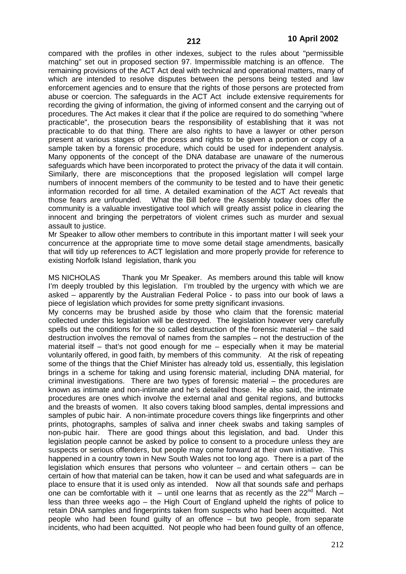compared with the profiles in other indexes, subject to the rules about "permissible matching" set out in proposed section 97. Impermissible matching is an offence. The remaining provisions of the ACT Act deal with technical and operational matters, many of which are intended to resolve disputes between the persons being tested and law enforcement agencies and to ensure that the rights of those persons are protected from abuse or coercion. The safeguards in the ACT Act include extensive requirements for recording the giving of information, the giving of informed consent and the carrying out of procedures. The Act makes it clear that if the police are required to do something "where practicable", the prosecution bears the responsibility of establishing that it was not practicable to do that thing. There are also rights to have a lawyer or other person present at various stages of the process and rights to be given a portion or copy of a sample taken by a forensic procedure, which could be used for independent analysis. Many opponents of the concept of the DNA database are unaware of the numerous safeguards which have been incorporated to protect the privacy of the data it will contain. Similarly, there are misconceptions that the proposed legislation will compel large numbers of innocent members of the community to be tested and to have their genetic information recorded for all time. A detailed examination of the ACT Act reveals that What the Bill before the Assembly today does offer the community is a valuable investigative tool which will greatly assist police in clearing the innocent and bringing the perpetrators of violent crimes such as murder and sexual assault to justice.

Mr Speaker to allow other members to contribute in this important matter I will seek your concurrence at the appropriate time to move some detail stage amendments, basically that will tidy up references to ACT legislation and more properly provide for reference to existing Norfolk Island legislation, thank you

MS NICHOLAS Thank you Mr Speaker. As members around this table will know I'm deeply troubled by this legislation. I'm troubled by the urgency with which we are asked – apparently by the Australian Federal Police - to pass into our book of laws a piece of legislation which provides for some pretty significant invasions.

My concerns may be brushed aside by those who claim that the forensic material collected under this legislation will be destroyed. The legislation however very carefully spells out the conditions for the so called destruction of the forensic material – the said destruction involves the removal of names from the samples – not the destruction of the material itself – that's not good enough for me – especially when it may be material voluntarily offered, in good faith, by members of this community. At the risk of repeating some of the things that the Chief Minister has already told us, essentially, this legislation brings in a scheme for taking and using forensic material, including DNA material, for criminal investigations. There are two types of forensic material – the procedures are known as intimate and non-intimate and he's detailed those. He also said, the intimate procedures are ones which involve the external anal and genital regions, and buttocks and the breasts of women. It also covers taking blood samples, dental impressions and samples of pubic hair. A non-intimate procedure covers things like fingerprints and other prints, photographs, samples of saliva and inner cheek swabs and taking samples of non-pubic hair. There are good things about this legislation, and bad. Under this legislation people cannot be asked by police to consent to a procedure unless they are suspects or serious offenders, but people may come forward at their own initiative. This happened in a country town in New South Wales not too long ago. There is a part of the legislation which ensures that persons who volunteer – and certain others – can be certain of how that material can be taken, how it can be used and what safeguards are in place to ensure that it is used only as intended. Now all that sounds safe and perhaps one can be comfortable with it  $-$  until one learns that as recently as the 22<sup>nd</sup> March  $$ less than three weeks ago – the High Court of England upheld the rights of police to retain DNA samples and fingerprints taken from suspects who had been acquitted. Not people who had been found guilty of an offence – but two people, from separate incidents, who had been acquitted. Not people who had been found guilty of an offence,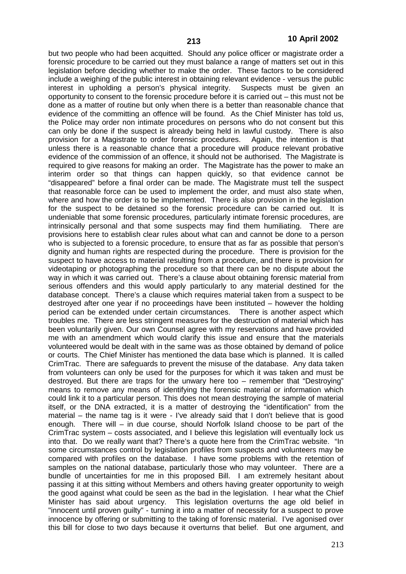but two people who had been acquitted. Should any police officer or magistrate order a forensic procedure to be carried out they must balance a range of matters set out in this legislation before deciding whether to make the order. These factors to be considered include a weighing of the public interest in obtaining relevant evidence - versus the public interest in upholding a person's physical integrity. Suspects must be given an opportunity to consent to the forensic procedure before it is carried out – this must not be done as a matter of routine but only when there is a better than reasonable chance that evidence of the committing an offence will be found. As the Chief Minister has told us, the Police may order non intimate procedures on persons who do not consent but this can only be done if the suspect is already being held in lawful custody. There is also provision for a Magistrate to order forensic procedures. Again. the intention is that provision for a Magistrate to order forensic procedures. unless there is a reasonable chance that a procedure will produce relevant probative evidence of the commission of an offence, it should not be authorised. The Magistrate is required to give reasons for making an order. The Magistrate has the power to make an interim order so that things can happen quickly, so that evidence cannot be "disappeared" before a final order can be made. The Magistrate must tell the suspect that reasonable force can be used to implement the order, and must also state when, where and how the order is to be implemented. There is also provision in the legislation for the suspect to be detained so the forensic procedure can be carried out. It is undeniable that some forensic procedures, particularly intimate forensic procedures, are intrinsically personal and that some suspects may find them humiliating. There are provisions here to establish clear rules about what can and cannot be done to a person who is subjected to a forensic procedure, to ensure that as far as possible that person's dignity and human rights are respected during the procedure. There is provision for the suspect to have access to material resulting from a procedure, and there is provision for videotaping or photographing the procedure so that there can be no dispute about the way in which it was carried out. There's a clause about obtaining forensic material from serious offenders and this would apply particularly to any material destined for the database concept. There's a clause which requires material taken from a suspect to be destroyed after one year if no proceedings have been instituted – however the holding period can be extended under certain circumstances. There is another aspect which troubles me. There are less stringent measures for the destruction of material which has been voluntarily given. Our own Counsel agree with my reservations and have provided me with an amendment which would clarify this issue and ensure that the materials volunteered would be dealt with in the same was as those obtained by demand of police or courts. The Chief Minister has mentioned the data base which is planned. It is called CrimTrac. There are safeguards to prevent the misuse of the database. Any data taken from volunteers can only be used for the purposes for which it was taken and must be destroyed. But there are traps for the unwary here too – remember that "Destroying" means to remove any means of identifying the forensic material or information which could link it to a particular person. This does not mean destroying the sample of material itself, or the DNA extracted, it is a matter of destroying the "identification" from the material – the name tag is it were - I've already said that I don't believe that is good enough. There will – in due course, should Norfolk Island choose to be part of the CrimTrac system – costs associated, and I believe this legislation will eventually lock us into that. Do we really want that? There's a quote here from the CrimTrac website. "In some circumstances control by legislation profiles from suspects and volunteers may be compared with profiles on the database. I have some problems with the retention of samples on the national database, particularly those who may volunteer. There are a bundle of uncertainties for me in this proposed Bill. I am extremely hesitant about passing it at this sitting without Members and others having greater opportunity to weigh the good against what could be seen as the bad in the legislation. I hear what the Chief Minister has said about urgency. This legislation overturns the age old belief in "innocent until proven guilty" - turning it into a matter of necessity for a suspect to prove innocence by offering or submitting to the taking of forensic material. I've agonised over this bill for close to two days because it overturns that belief. But one argument, and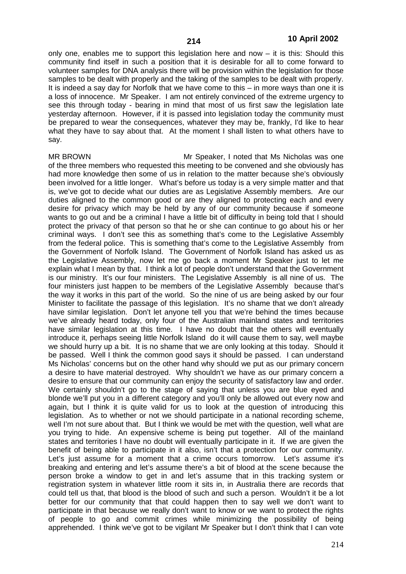only one, enables me to support this legislation here and now  $-$  it is this: Should this community find itself in such a position that it is desirable for all to come forward to volunteer samples for DNA analysis there will be provision within the legislation for those samples to be dealt with properly and the taking of the samples to be dealt with properly. It is indeed a say day for Norfolk that we have come to this – in more ways than one it is a loss of innocence. Mr Speaker. I am not entirely convinced of the extreme urgency to see this through today - bearing in mind that most of us first saw the legislation late yesterday afternoon. However, if it is passed into legislation today the community must be prepared to wear the consequences, whatever they may be, frankly, I'd like to hear what they have to say about that. At the moment I shall listen to what others have to say.

MR BROWN Mr Speaker, I noted that Ms Nicholas was one of the three members who requested this meeting to be convened and she obviously has had more knowledge then some of us in relation to the matter because she's obviously been involved for a little longer. What's before us today is a very simple matter and that is, we've got to decide what our duties are as Legislative Assembly members. Are our duties aligned to the common good or are they aligned to protecting each and every desire for privacy which may be held by any of our community because if someone wants to go out and be a criminal I have a little bit of difficulty in being told that I should protect the privacy of that person so that he or she can continue to go about his or her criminal ways. I don't see this as something that's come to the Legislative Assembly from the federal police. This is something that's come to the Legislative Assembly from the Government of Norfolk Island. The Government of Norfolk Island has asked us as the Legislative Assembly, now let me go back a moment Mr Speaker just to let me explain what I mean by that. I think a lot of people don't understand that the Government is our ministry. It's our four ministers. The Legislative Assembly is all nine of us. The four ministers just happen to be members of the Legislative Assembly because that's the way it works in this part of the world. So the nine of us are being asked by our four Minister to facilitate the passage of this legislation. It's no shame that we don't already have similar legislation. Don't let anyone tell you that we're behind the times because we've already heard today, only four of the Australian mainland states and territories have similar legislation at this time. I have no doubt that the others will eventually introduce it, perhaps seeing little Norfolk Island do it will cause them to say, well maybe we should hurry up a bit. It is no shame that we are only looking at this today. Should it be passed. Well I think the common good says it should be passed. I can understand Ms Nicholas' concerns but on the other hand why should we put as our primary concern a desire to have material destroyed. Why shouldn't we have as our primary concern a desire to ensure that our community can enjoy the security of satisfactory law and order. We certainly shouldn't go to the stage of saying that unless you are blue eyed and blonde we'll put you in a different category and you'll only be allowed out every now and again, but I think it is quite valid for us to look at the question of introducing this legislation. As to whether or not we should participate in a national recording scheme, well I'm not sure about that. But I think we would be met with the question, well what are you trying to hide. An expensive scheme is being put together. All of the mainland states and territories I have no doubt will eventually participate in it. If we are given the benefit of being able to participate in it also, isn't that a protection for our community. Let's just assume for a moment that a crime occurs tomorrow. Let's assume it's breaking and entering and let's assume there's a bit of blood at the scene because the person broke a window to get in and let's assume that in this tracking system or registration system in whatever little room it sits in, in Australia there are records that could tell us that, that blood is the blood of such and such a person. Wouldn't it be a lot better for our community that that could happen then to say well we don't want to participate in that because we really don't want to know or we want to protect the rights of people to go and commit crimes while minimizing the possibility of being apprehended. I think we've got to be vigilant Mr Speaker but I don't think that I can vote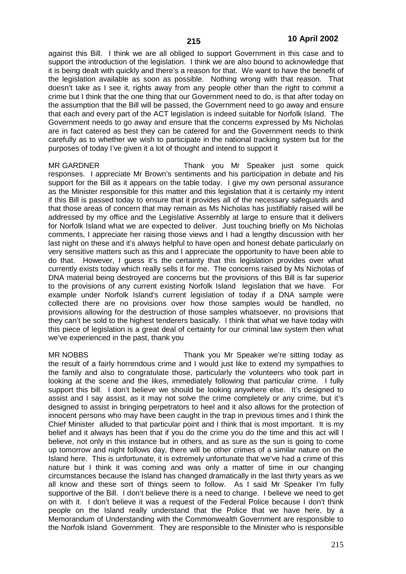against this Bill. I think we are all obliged to support Government in this case and to support the introduction of the legislation. I think we are also bound to acknowledge that it is being dealt with quickly and there's a reason for that. We want to have the benefit of the legislation available as soon as possible. Nothing wrong with that reason. That doesn't take as I see it, rights away from any people other than the right to commit a crime but I think that the one thing that our Government need to do, is that after today on the assumption that the Bill will be passed, the Government need to go away and ensure that each and every part of the ACT legislation is indeed suitable for Norfolk Island. The Government needs to go away and ensure that the concerns expressed by Ms Nicholas are in fact catered as best they can be catered for and the Government needs to think carefully as to whether we wish to participate in the national tracking system but for the purposes of today I've given it a lot of thought and intend to support it

MR GARDNER Thank you Mr Speaker just some quick responses. I appreciate Mr Brown's sentiments and his participation in debate and his support for the Bill as it appears on the table today. I give my own personal assurance as the Minister responsible for this matter and this legislation that it is certainly my intent if this Bill is passed today to ensure that it provides all of the necessary safeguards and that those areas of concern that may remain as Ms Nicholas has justifiably raised will be addressed by my office and the Legislative Assembly at large to ensure that it delivers for Norfolk Island what we are expected to deliver. Just touching briefly on Ms Nicholas comments, I appreciate her raising those views and I had a lengthy discussion with her last night on these and it's always helpful to have open and honest debate particularly on very sensitive matters such as this and I appreciate the opportunity to have been able to do that. However, I guess it's the certainty that this legislation provides over what currently exists today which really sells it for me. The concerns raised by Ms Nicholas of DNA material being destroyed are concerns but the provisions of this Bill is far superior to the provisions of any current existing Norfolk Island legislation that we have. For example under Norfolk Island's current legislation of today if a DNA sample were collected there are no provisions over how those samples would be handled, no provisions allowing for the destruction of those samples whatsoever, no provisions that they can't be sold to the highest tenderers basically. I think that what we have today with this piece of legislation is a great deal of certainty for our criminal law system then what we've experienced in the past, thank you

MR NOBBS Thank you Mr Speaker we're sitting today as the result of a fairly horrendous crime and I would just like to extend my sympathies to the family and also to congratulate those, particularly the volunteers who took part in looking at the scene and the likes, immediately following that particular crime. I fully support this bill. I don't believe we should be looking anywhere else. It's designed to assist and I say assist, as it may not solve the crime completely or any crime, but it's designed to assist in bringing perpetrators to heel and it also allows for the protection of innocent persons who may have been caught in the trap in previous times and I think the Chief Minister alluded to that particular point and I think that is most important. It is my belief and it always has been that if you do the crime you do the time and this act will I believe, not only in this instance but in others, and as sure as the sun is going to come up tomorrow and night follows day, there will be other crimes of a similar nature on the Island here. This is unfortunate, it is extremely unfortunate that we've had a crime of this nature but I think it was coming and was only a matter of time in our changing circumstances because the Island has changed dramatically in the last thirty years as we all know and these sort of things seem to follow. As I said Mr Speaker I'm fully supportive of the Bill. I don't believe there is a need to change. I believe we need to get on with it. I don't believe it was a request of the Federal Police because I don't think people on the Island really understand that the Police that we have here, by a Memorandum of Understanding with the Commonwealth Government are responsible to the Norfolk Island Government. They are responsible to the Minister who is responsible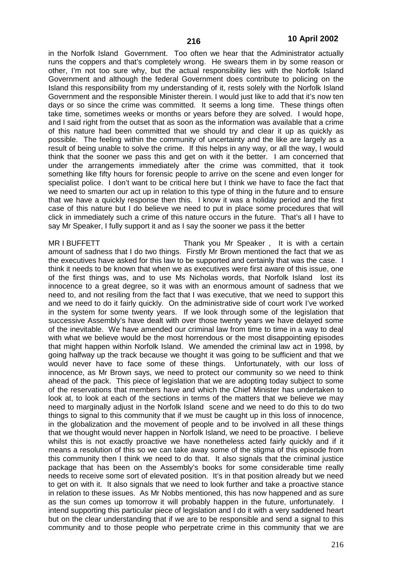in the Norfolk Island Government. Too often we hear that the Administrator actually runs the coppers and that's completely wrong. He swears them in by some reason or other, I'm not too sure why, but the actual responsibility lies with the Norfolk Island Government and although the federal Government does contribute to policing on the Island this responsibility from my understanding of it, rests solely with the Norfolk Island Government and the responsible Minister therein. I would just like to add that it's now ten days or so since the crime was committed. It seems a long time. These things often take time, sometimes weeks or months or years before they are solved. I would hope, and I said right from the outset that as soon as the information was available that a crime of this nature had been committed that we should try and clear it up as quickly as possible. The feeling within the community of uncertainty and the like are largely as a result of being unable to solve the crime. If this helps in any way, or all the way, I would think that the sooner we pass this and get on with it the better. I am concerned that under the arrangements immediately after the crime was committed, that it took something like fifty hours for forensic people to arrive on the scene and even longer for specialist police. I don't want to be critical here but I think we have to face the fact that we need to smarten our act up in relation to this type of thing in the future and to ensure that we have a quickly response then this. I know it was a holiday period and the first case of this nature but I do believe we need to put in place some procedures that will click in immediately such a crime of this nature occurs in the future. That's all I have to say Mr Speaker, I fully support it and as I say the sooner we pass it the better

MR I BUFFETT THANK you Mr Speaker , It is with a certain amount of sadness that I do two things. Firstly Mr Brown mentioned the fact that we as the executives have asked for this law to be supported and certainly that was the case. I think it needs to be known that when we as executives were first aware of this issue, one of the first things was, and to use Ms Nicholas words, that Norfolk Island lost its innocence to a great degree, so it was with an enormous amount of sadness that we need to, and not resiling from the fact that I was executive, that we need to support this and we need to do it fairly quickly. On the administrative side of court work I've worked in the system for some twenty years. If we look through some of the legislation that successive Assembly's have dealt with over those twenty years we have delayed some of the inevitable. We have amended our criminal law from time to time in a way to deal with what we believe would be the most horrendous or the most disappointing episodes that might happen within Norfolk Island. We amended the criminal law act in 1998, by going halfway up the track because we thought it was going to be sufficient and that we would never have to face some of these things. Unfortunately, with our loss of innocence, as Mr Brown says, we need to protect our community so we need to think ahead of the pack. This piece of legislation that we are adopting today subject to some of the reservations that members have and which the Chief Minister has undertaken to look at, to look at each of the sections in terms of the matters that we believe we may need to marginally adjust in the Norfolk Island scene and we need to do this to do two things to signal to this community that if we must be caught up in this loss of innocence, in the globalization and the movement of people and to be involved in all these things that we thought would never happen in Norfolk Island, we need to be proactive. I believe whilst this is not exactly proactive we have nonetheless acted fairly quickly and if it means a resolution of this so we can take away some of the stigma of this episode from this community then I think we need to do that. It also signals that the criminal justice package that has been on the Assembly's books for some considerable time really needs to receive some sort of elevated position. It's in that position already but we need to get on with it. It also signals that we need to look further and take a proactive stance in relation to these issues. As Mr Nobbs mentioned, this has now happened and as sure as the sun comes up tomorrow it will probably happen in the future, unfortunately. I intend supporting this particular piece of legislation and I do it with a very saddened heart but on the clear understanding that if we are to be responsible and send a signal to this community and to those people who perpetrate crime in this community that we are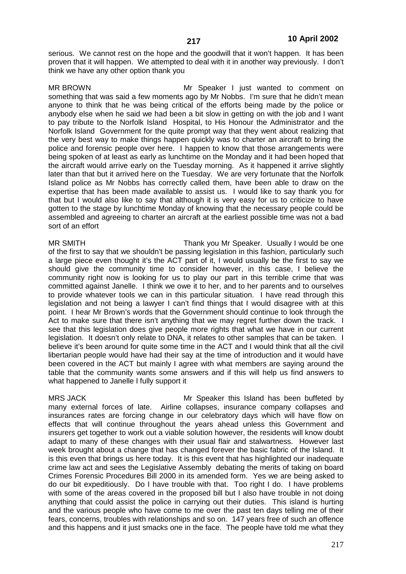serious. We cannot rest on the hope and the goodwill that it won't happen. It has been proven that it will happen. We attempted to deal with it in another way previously. I don't think we have any other option thank you

MR BROWN Mr Speaker I just wanted to comment on something that was said a few moments ago by Mr Nobbs. I'm sure that he didn't mean anyone to think that he was being critical of the efforts being made by the police or anybody else when he said we had been a bit slow in getting on with the job and I want to pay tribute to the Norfolk Island Hospital, to His Honour the Administrator and the Norfolk Island Government for the quite prompt way that they went about realizing that the very best way to make things happen quickly was to charter an aircraft to bring the police and forensic people over here. I happen to know that those arrangements were being spoken of at least as early as lunchtime on the Monday and it had been hoped that the aircraft would arrive early on the Tuesday morning. As it happened it arrive slightly later than that but it arrived here on the Tuesday. We are very fortunate that the Norfolk Island police as Mr Nobbs has correctly called them, have been able to draw on the expertise that has been made available to assist us. I would like to say thank you for that but I would also like to say that although it is very easy for us to criticize to have gotten to the stage by lunchtime Monday of knowing that the necessary people could be assembled and agreeing to charter an aircraft at the earliest possible time was not a bad sort of an effort

MR SMITH Thank you Mr Speaker. Usually I would be one of the first to say that we shouldn't be passing legislation in this fashion, particularly such a large piece even thought it's the ACT part of it, I would usually be the first to say we should give the community time to consider however, in this case, I believe the community right now is looking for us to play our part in this terrible crime that was committed against Janelle. I think we owe it to her, and to her parents and to ourselves to provide whatever tools we can in this particular situation. I have read through this legislation and not being a lawyer I can't find things that I would disagree with at this point. I hear Mr Brown's words that the Government should continue to look through the Act to make sure that there isn't anything that we may regret further down the track. I see that this legislation does give people more rights that what we have in our current legislation. It doesn't only relate to DNA, it relates to other samples that can be taken. I believe it's been around for quite some time in the ACT and I would think that all the civil libertarian people would have had their say at the time of introduction and it would have been covered in the ACT but mainly I agree with what members are saying around the table that the community wants some answers and if this will help us find answers to what happened to Janelle I fully support it

MRS JACK **MRS INCOCONTACT MRS** JACK Mr Speaker this Island has been buffeted by many external forces of late. Airline collapses, insurance company collapses and insurances rates are forcing change in our celebratory days which will have flow on effects that will continue throughout the years ahead unless this Government and insurers get together to work out a viable solution however, the residents will know doubt adapt to many of these changes with their usual flair and stalwartness. However last week brought about a change that has changed forever the basic fabric of the Island. It is this even that brings us here today. It is this event that has highlighted our inadequate crime law act and sees the Legislative Assembly debating the merits of taking on board Crimes Forensic Procedures Bill 2000 in its amended form. Yes we are being asked to do our bit expeditiously. Do I have trouble with that. Too right I do. I have problems with some of the areas covered in the proposed bill but I also have trouble in not doing anything that could assist the police in carrying out their duties. This island is hurting and the various people who have come to me over the past ten days telling me of their fears, concerns, troubles with relationships and so on. 147 years free of such an offence and this happens and it just smacks one in the face. The people have told me what they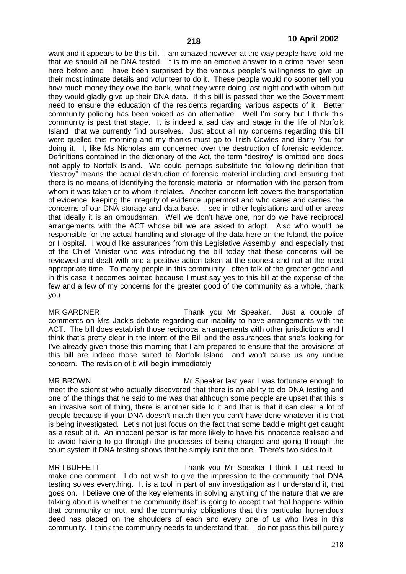want and it appears to be this bill. I am amazed however at the way people have told me that we should all be DNA tested. It is to me an emotive answer to a crime never seen here before and I have been surprised by the various people's willingness to give up their most intimate details and volunteer to do it. These people would no sooner tell you how much money they owe the bank, what they were doing last night and with whom but they would gladly give up their DNA data. If this bill is passed then we the Government need to ensure the education of the residents regarding various aspects of it. Better community policing has been voiced as an alternative. Well I'm sorry but I think this community is past that stage. It is indeed a sad day and stage in the life of Norfolk Island that we currently find ourselves. Just about all my concerns regarding this bill were quelled this morning and my thanks must go to Trish Cowles and Barry Yau for doing it. I, like Ms Nicholas am concerned over the destruction of forensic evidence. Definitions contained in the dictionary of the Act, the term "destroy" is omitted and does not apply to Norfolk Island. We could perhaps substitute the following definition that "destroy" means the actual destruction of forensic material including and ensuring that there is no means of identifying the forensic material or information with the person from whom it was taken or to whom it relates. Another concern left covers the transportation of evidence, keeping the integrity of evidence uppermost and who cares and carries the concerns of our DNA storage and data base. I see in other legislations and other areas that ideally it is an ombudsman. Well we don't have one, nor do we have reciprocal arrangements with the ACT whose bill we are asked to adopt. Also who would be responsible for the actual handling and storage of the data here on the Island, the police or Hospital. I would like assurances from this Legislative Assembly and especially that of the Chief Minister who was introducing the bill today that these concerns will be reviewed and dealt with and a positive action taken at the soonest and not at the most appropriate time. To many people in this community I often talk of the greater good and in this case it becomes pointed because I must say yes to this bill at the expense of the few and a few of my concerns for the greater good of the community as a whole, thank you

MR GARDNER Thank you Mr Speaker. Just a couple of comments on Mrs Jack's debate regarding our inability to have arrangements with the ACT. The bill does establish those reciprocal arrangements with other jurisdictions and I think that's pretty clear in the intent of the Bill and the assurances that she's looking for I've already given those this morning that I am prepared to ensure that the provisions of this bill are indeed those suited to Norfolk Island and won't cause us any undue concern. The revision of it will begin immediately

MR BROWN Mr Speaker last year I was fortunate enough to meet the scientist who actually discovered that there is an ability to do DNA testing and one of the things that he said to me was that although some people are upset that this is an invasive sort of thing, there is another side to it and that is that it can clear a lot of people because if your DNA doesn't match then you can't have done whatever it is that is being investigated. Let's not just focus on the fact that some baddie might get caught as a result of it. An innocent person is far more likely to have his innocence realised and to avoid having to go through the processes of being charged and going through the court system if DNA testing shows that he simply isn't the one. There's two sides to it

MR I BUFFETT THANK you Mr Speaker I think I just need to make one comment. I do not wish to give the impression to the community that DNA testing solves everything. It is a tool in part of any investigation as I understand it, that goes on. I believe one of the key elements in solving anything of the nature that we are talking about is whether the community itself is going to accept that that happens within that community or not, and the community obligations that this particular horrendous deed has placed on the shoulders of each and every one of us who lives in this community. I think the community needs to understand that. I do not pass this bill purely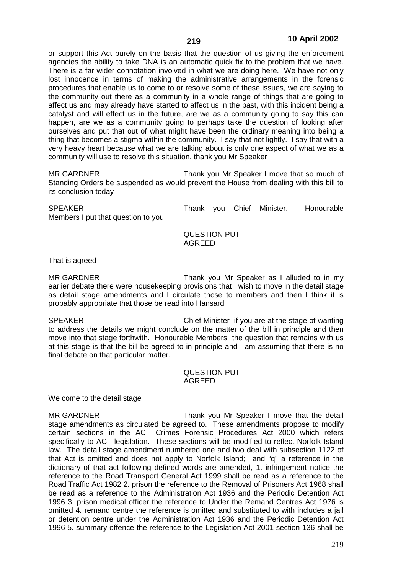or support this Act purely on the basis that the question of us giving the enforcement agencies the ability to take DNA is an automatic quick fix to the problem that we have. There is a far wider connotation involved in what we are doing here. We have not only lost innocence in terms of making the administrative arrangements in the forensic procedures that enable us to come to or resolve some of these issues, we are saying to the community out there as a community in a whole range of things that are going to affect us and may already have started to affect us in the past, with this incident being a catalyst and will effect us in the future, are we as a community going to say this can happen, are we as a community going to perhaps take the question of looking after ourselves and put that out of what might have been the ordinary meaning into being a thing that becomes a stigma within the community. I say that not lightly. I say that with a very heavy heart because what we are talking about is only one aspect of what we as a community will use to resolve this situation, thank you Mr Speaker

MR GARDNER Thank you Mr Speaker I move that so much of Standing Orders be suspended as would prevent the House from dealing with this bill to its conclusion today

| <b>SPEAKER</b>                     |  | Thank you Chief Minister. | Honourable |
|------------------------------------|--|---------------------------|------------|
| Members I put that question to you |  |                           |            |

# QUESTION PUT AGREED

That is agreed

MR GARDNER Thank you Mr Speaker as I alluded to in my earlier debate there were housekeeping provisions that I wish to move in the detail stage as detail stage amendments and I circulate those to members and then I think it is probably appropriate that those be read into Hansard

SPEAKER Chief Minister if you are at the stage of wanting to address the details we might conclude on the matter of the bill in principle and then move into that stage forthwith. Honourable Members the question that remains with us at this stage is that the bill be agreed to in principle and I am assuming that there is no final debate on that particular matter.

#### QUESTION PUT AGREED

We come to the detail stage

MR GARDNER Thank you Mr Speaker I move that the detail stage amendments as circulated be agreed to. These amendments propose to modify certain sections in the ACT Crimes Forensic Procedures Act 2000 which refers specifically to ACT legislation. These sections will be modified to reflect Norfolk Island law. The detail stage amendment numbered one and two deal with subsection 1122 of that Act is omitted and does not apply to Norfolk Island; and "q" a reference in the dictionary of that act following defined words are amended, 1. infringement notice the reference to the Road Transport General Act 1999 shall be read as a reference to the Road Traffic Act 1982 2. prison the reference to the Removal of Prisoners Act 1968 shall be read as a reference to the Administration Act 1936 and the Periodic Detention Act 1996 3. prison medical officer the reference to Under the Remand Centres Act 1976 is omitted 4. remand centre the reference is omitted and substituted to with includes a jail or detention centre under the Administration Act 1936 and the Periodic Detention Act 1996 5. summary offence the reference to the Legislation Act 2001 section 136 shall be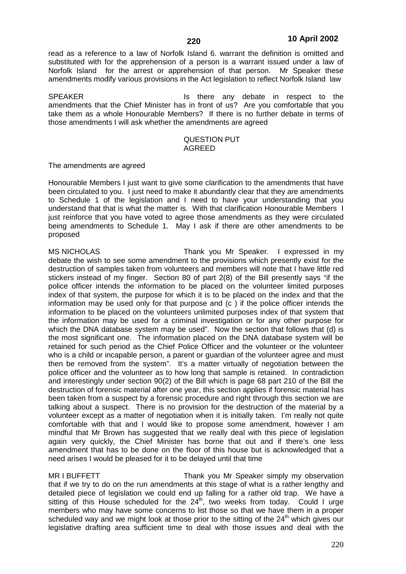read as a reference to a law of Norfolk Island 6. warrant the definition is omitted and substituted with for the apprehension of a person is a warrant issued under a law of Norfolk Island for the arrest or apprehension of that person. Mr Speaker these amendments modify various provisions in the Act legislation to reflect Norfolk Island law

SPEAKER **In the set of the set of the set of the set of the set of the set of the set of the set of the set of the set of the set of the set of the set of the set of the set of the set of the set of the set of the set of t** amendments that the Chief Minister has in front of us? Are you comfortable that you take them as a whole Honourable Members? If there is no further debate in terms of those amendments I will ask whether the amendments are agreed

#### QUESTION PUT AGREED

The amendments are agreed

Honourable Members I just want to give some clarification to the amendments that have been circulated to you. I just need to make it abundantly clear that they are amendments to Schedule 1 of the legislation and I need to have your understanding that you understand that that is what the matter is. With that clarification Honourable Members I just reinforce that you have voted to agree those amendments as they were circulated being amendments to Schedule 1. May I ask if there are other amendments to be proposed

MS NICHOLAS Thank you Mr Speaker. I expressed in my debate the wish to see some amendment to the provisions which presently exist for the destruction of samples taken from volunteers and members will note that I have little red stickers instead of my finger. Section 80 of part 2(8) of the Bill presently says "if the police officer intends the information to be placed on the volunteer limited purposes index of that system, the purpose for which it is to be placed on the index and that the information may be used only for that purpose and (c ) if the police officer intends the information to be placed on the volunteers unlimited purposes index of that system that the information may be used for a criminal investigation or for any other purpose for which the DNA database system may be used". Now the section that follows that (d) is the most significant one. The information placed on the DNA database system will be retained for such period as the Chief Police Officer and the volunteer or the volunteer who is a child or incapable person, a parent or guardian of the volunteer agree and must then be removed from the system". It's a matter virtually of negotiation between the police officer and the volunteer as to how long that sample is retained. In contradiction and interestingly under section 90(2) of the Bill which is page 68 part 210 of the Bill the destruction of forensic material after one year, this section applies if forensic material has been taken from a suspect by a forensic procedure and right through this section we are talking about a suspect. There is no provision for the destruction of the material by a volunteer except as a matter of negotiation when it is initially taken. I'm really not quite comfortable with that and I would like to propose some amendment, however I am mindful that Mr Brown has suggested that we really deal with this piece of legislation again very quickly, the Chief Minister has borne that out and if there's one less amendment that has to be done on the floor of this house but is acknowledged that a need arises I would be pleased for it to be delayed until that time

MR I BUFFETT THANK you Mr Speaker simply my observation that if we try to do on the run amendments at this stage of what is a rather lengthy and detailed piece of legislation we could end up falling for a rather old trap. We have a sitting of this House scheduled for the  $24<sup>th</sup>$ , two weeks from today. Could I urge members who may have some concerns to list those so that we have them in a proper scheduled way and we might look at those prior to the sitting of the  $24<sup>th</sup>$  which gives our legislative drafting area sufficient time to deal with those issues and deal with the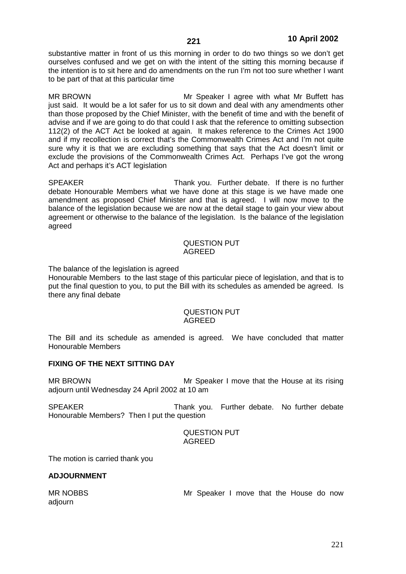substantive matter in front of us this morning in order to do two things so we don't get ourselves confused and we get on with the intent of the sitting this morning because if the intention is to sit here and do amendments on the run I'm not too sure whether I want to be part of that at this particular time

MR BROWN Mr Speaker I agree with what Mr Buffett has just said. It would be a lot safer for us to sit down and deal with any amendments other than those proposed by the Chief Minister, with the benefit of time and with the benefit of advise and if we are going to do that could I ask that the reference to omitting subsection 112(2) of the ACT Act be looked at again. It makes reference to the Crimes Act 1900 and if my recollection is correct that's the Commonwealth Crimes Act and I'm not quite sure why it is that we are excluding something that says that the Act doesn't limit or exclude the provisions of the Commonwealth Crimes Act. Perhaps I've got the wrong Act and perhaps it's ACT legislation

SPEAKER Thank you. Further debate. If there is no further debate Honourable Members what we have done at this stage is we have made one amendment as proposed Chief Minister and that is agreed. I will now move to the balance of the legislation because we are now at the detail stage to gain your view about agreement or otherwise to the balance of the legislation. Is the balance of the legislation agreed

#### QUESTION PUT AGREED

The balance of the legislation is agreed

Honourable Members to the last stage of this particular piece of legislation, and that is to put the final question to you, to put the Bill with its schedules as amended be agreed. Is there any final debate

## QUESTION PUT AGREED

The Bill and its schedule as amended is agreed. We have concluded that matter Honourable Members

# **FIXING OF THE NEXT SITTING DAY**

MR BROWN Mr Speaker I move that the House at its rising adjourn until Wednesday 24 April 2002 at 10 am

SPEAKER Thank you. Further debate. No further debate Honourable Members? Then I put the question

> QUESTION PUT AGREED

The motion is carried thank you

#### **ADJOURNMENT**

MR NOBBS **MR NOBBS** Mr Speaker I move that the House do now adjourn